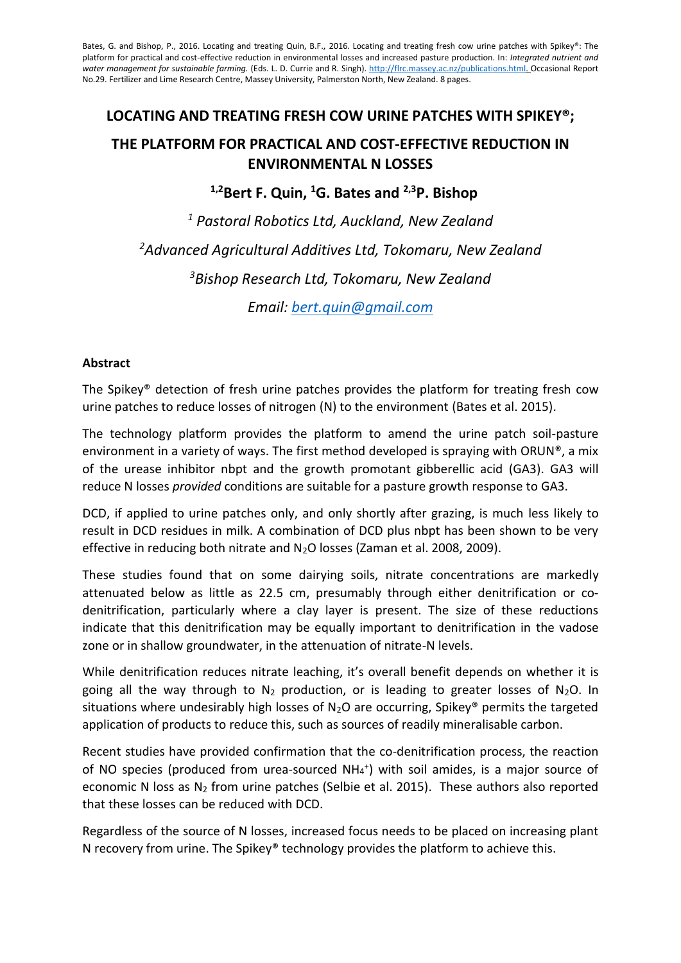Bates, G. and Bishop, P., 2016. Locating and treating Quin, B.F., 2016. Locating and treating fresh cow urine patches with Spikey®: The platform for practical and cost-effective reduction in environmental losses and increased pasture production. In: *Integrated nutrient and water management for sustainable farming.* (Eds. L. D. Currie and R. Singh). [http://flrc.massey.ac.nz/publications.html.](http://flrc.massey.ac.nz/publications.html) Occasional Report No.29. Fertilizer and Lime Research Centre, Massey University, Palmerston North, New Zealand. 8 pages.

# **LOCATING AND TREATING FRESH COW URINE PATCHES WITH SPIKEY®; THE PLATFORM FOR PRACTICAL AND COST-EFFECTIVE REDUCTION IN ENVIRONMENTAL N LOSSES**

**1,2Bert F. Quin, <sup>1</sup>G. Bates and 2,3P. Bishop**

 *Pastoral Robotics Ltd, Auckland, New Zealand Advanced Agricultural Additives Ltd, Tokomaru, New Zealand Bishop Research Ltd, Tokomaru, New Zealand Email: [bert.quin@gmail.com](mailto:bert.quin@gmail.com)*

#### **Abstract**

The Spikey® detection of fresh urine patches provides the platform for treating fresh cow urine patches to reduce losses of nitrogen (N) to the environment (Bates et al. 2015).

The technology platform provides the platform to amend the urine patch soil-pasture environment in a variety of ways. The first method developed is spraying with ORUN®, a mix of the urease inhibitor nbpt and the growth promotant gibberellic acid (GA3). GA3 will reduce N losses *provided* conditions are suitable for a pasture growth response to GA3.

DCD, if applied to urine patches only, and only shortly after grazing, is much less likely to result in DCD residues in milk. A combination of DCD plus nbpt has been shown to be very effective in reducing both nitrate and  $N_2O$  losses (Zaman et al. 2008, 2009).

These studies found that on some dairying soils, nitrate concentrations are markedly attenuated below as little as 22.5 cm, presumably through either denitrification or codenitrification, particularly where a clay layer is present. The size of these reductions indicate that this denitrification may be equally important to denitrification in the vadose zone or in shallow groundwater, in the attenuation of nitrate-N levels.

While denitrification reduces nitrate leaching, it's overall benefit depends on whether it is going all the way through to  $N_2$  production, or is leading to greater losses of  $N_2O$ . In situations where undesirably high losses of  $N_2O$  are occurring, Spikey® permits the targeted application of products to reduce this, such as sources of readily mineralisable carbon.

Recent studies have provided confirmation that the co-denitrification process, the reaction of NO species (produced from urea-sourced NH<sub>4</sub><sup>+</sup>) with soil amides, is a major source of economic N loss as  $N_2$  from urine patches (Selbie et al. 2015). These authors also reported that these losses can be reduced with DCD.

Regardless of the source of N losses, increased focus needs to be placed on increasing plant N recovery from urine. The Spikey® technology provides the platform to achieve this.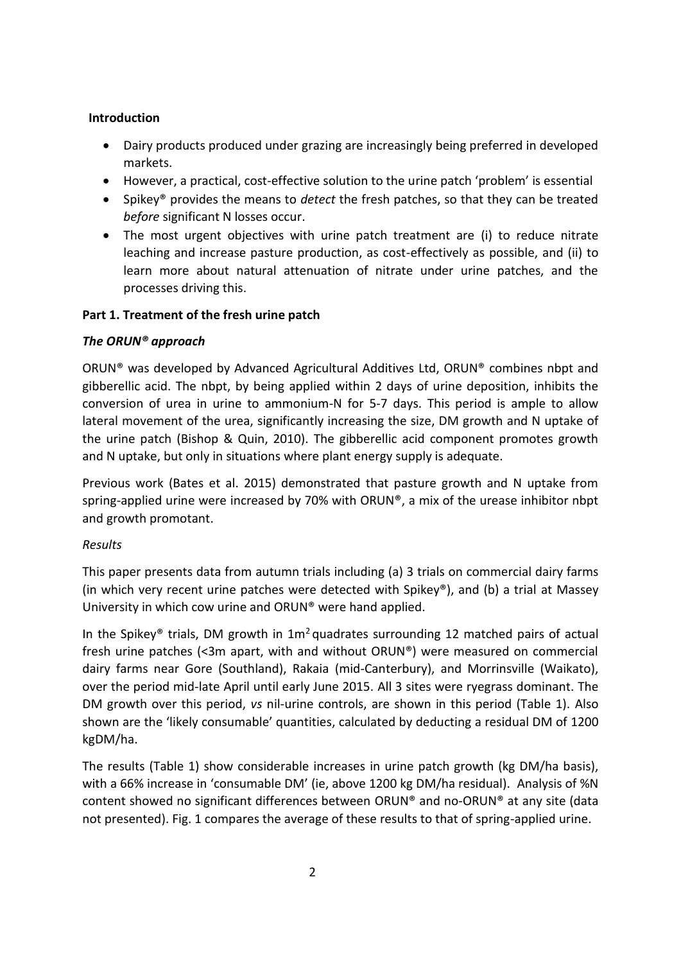#### **Introduction**

- Dairy products produced under grazing are increasingly being preferred in developed markets.
- However, a practical, cost-effective solution to the urine patch 'problem' is essential
- Spikey® provides the means to *detect* the fresh patches, so that they can be treated *before* significant N losses occur.
- The most urgent objectives with urine patch treatment are (i) to reduce nitrate leaching and increase pasture production, as cost-effectively as possible, and (ii) to learn more about natural attenuation of nitrate under urine patches, and the processes driving this.

# **Part 1. Treatment of the fresh urine patch**

#### *The ORUN® approach*

ORUN® was developed by Advanced Agricultural Additives Ltd, ORUN® combines nbpt and gibberellic acid. The nbpt, by being applied within 2 days of urine deposition, inhibits the conversion of urea in urine to ammonium-N for 5-7 days. This period is ample to allow lateral movement of the urea, significantly increasing the size, DM growth and N uptake of the urine patch (Bishop & Quin, 2010). The gibberellic acid component promotes growth and N uptake, but only in situations where plant energy supply is adequate.

Previous work (Bates et al. 2015) demonstrated that pasture growth and N uptake from spring-applied urine were increased by 70% with ORUN®, a mix of the urease inhibitor nbpt and growth promotant.

# *Results*

This paper presents data from autumn trials including (a) 3 trials on commercial dairy farms (in which very recent urine patches were detected with Spikey®), and (b) a trial at Massey University in which cow urine and ORUN® were hand applied.

In the Spikey® trials, DM growth in  $1m<sup>2</sup>$  quadrates surrounding 12 matched pairs of actual fresh urine patches (<3m apart, with and without ORUN®) were measured on commercial dairy farms near Gore (Southland), Rakaia (mid-Canterbury), and Morrinsville (Waikato), over the period mid-late April until early June 2015. All 3 sites were ryegrass dominant. The DM growth over this period, *vs* nil-urine controls, are shown in this period (Table 1). Also shown are the 'likely consumable' quantities, calculated by deducting a residual DM of 1200 kgDM/ha.

The results (Table 1) show considerable increases in urine patch growth (kg DM/ha basis), with a 66% increase in 'consumable DM' (ie, above 1200 kg DM/ha residual). Analysis of %N content showed no significant differences between ORUN® and no-ORUN® at any site (data not presented). Fig. 1 compares the average of these results to that of spring-applied urine.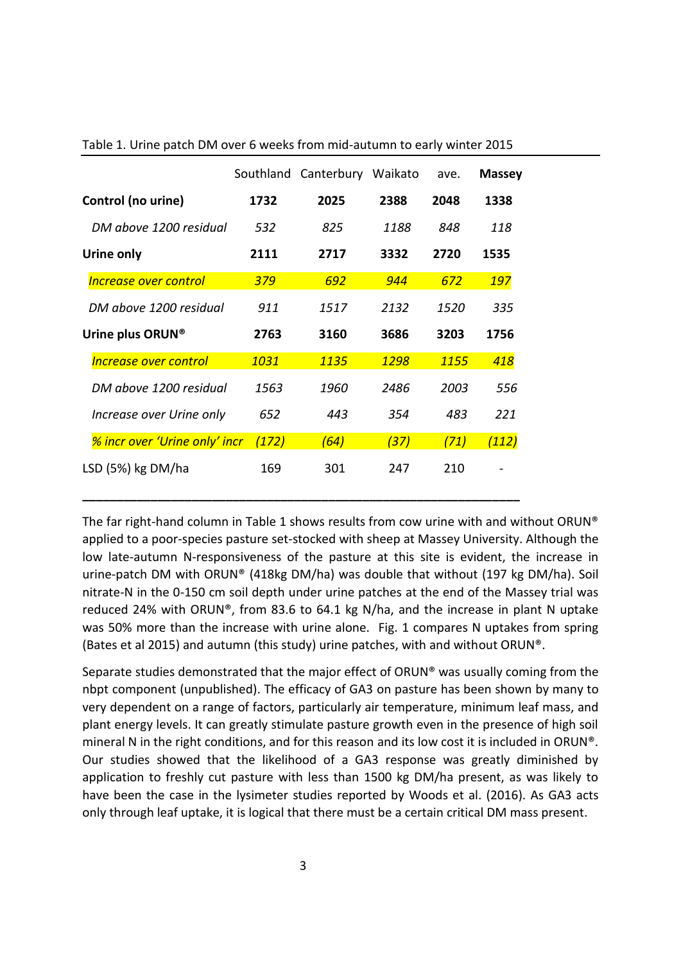|                                            |       | Southland Canterbury Waikato |      | ave.        | <b>Massey</b> |
|--------------------------------------------|-------|------------------------------|------|-------------|---------------|
| Control (no urine)                         | 1732  | 2025                         | 2388 | 2048        | 1338          |
| DM above 1200 residual                     | 532   | 825                          | 1188 | 848         | 118           |
| Urine only                                 | 2111  | 2717                         | 3332 | 2720        | 1535          |
| <b>Increase over control</b>               | 379   | 692                          | 944  | 672         | <b>197</b>    |
| DM above 1200 residual                     | 911   | 1517                         | 2132 | <i>1520</i> | 335           |
| Urine plus ORUN®                           | 2763  | 3160                         | 3686 | 3203        | 1756          |
| <i><u><b>Increase over control</b></u></i> | 1031  | 1135                         | 1298 | <b>1155</b> | 418           |
| DM above 1200 residual                     | 1563  | 1960                         | 2486 | 2003        | 556           |
| Increase over Urine only                   | 652   | 443                          | 354  | 483         | 221           |
| <b>% incr over 'Urine only' incr</b>       | (172) | (64)                         | (37) | (71)        | <u>(112)</u>  |
| LSD (5%) kg DM/ha                          | 169   | 301                          | 247  | 210         |               |

**\_\_\_\_\_\_\_\_\_\_\_\_\_\_\_\_\_\_\_\_\_\_\_\_\_\_\_\_\_\_\_\_\_\_\_\_\_\_\_\_\_\_\_\_\_\_\_\_\_\_\_\_\_\_\_\_\_\_\_\_\_\_\_\_**

Table 1. Urine patch DM over 6 weeks from mid-autumn to early winter 2015

The far right-hand column in Table 1 shows results from cow urine with and without ORUN® applied to a poor-species pasture set-stocked with sheep at Massey University. Although the low late-autumn N-responsiveness of the pasture at this site is evident, the increase in urine-patch DM with ORUN® (418kg DM/ha) was double that without (197 kg DM/ha). Soil nitrate-N in the 0-150 cm soil depth under urine patches at the end of the Massey trial was reduced 24% with ORUN®, from 83.6 to 64.1 kg N/ha, and the increase in plant N uptake was 50% more than the increase with urine alone. Fig. 1 compares N uptakes from spring (Bates et al 2015) and autumn (this study) urine patches, with and without ORUN®.

Separate studies demonstrated that the major effect of ORUN® was usually coming from the nbpt component (unpublished). The efficacy of GA3 on pasture has been shown by many to very dependent on a range of factors, particularly air temperature, minimum leaf mass, and plant energy levels. It can greatly stimulate pasture growth even in the presence of high soil mineral N in the right conditions, and for this reason and its low cost it is included in ORUN®. Our studies showed that the likelihood of a GA3 response was greatly diminished by application to freshly cut pasture with less than 1500 kg DM/ha present, as was likely to have been the case in the lysimeter studies reported by Woods et al. (2016). As GA3 acts only through leaf uptake, it is logical that there must be a certain critical DM mass present.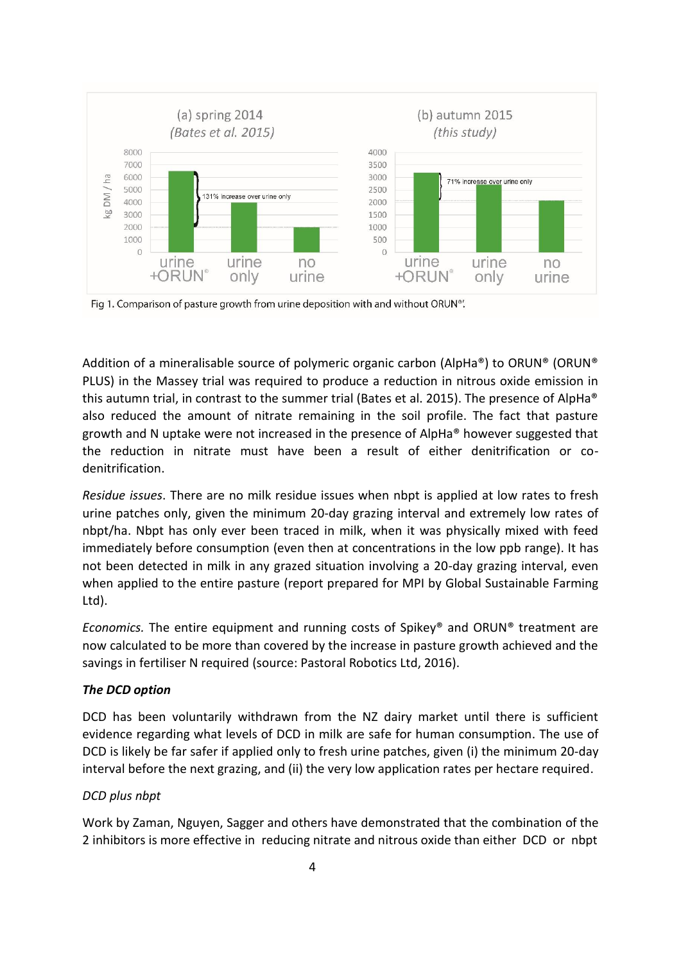

Fig 1. Comparison of pasture growth from urine deposition with and without ORUN®.

Addition of a mineralisable source of polymeric organic carbon (AlpHa®) to ORUN® (ORUN® PLUS) in the Massey trial was required to produce a reduction in nitrous oxide emission in this autumn trial, in contrast to the summer trial (Bates et al. 2015). The presence of AlpHa® also reduced the amount of nitrate remaining in the soil profile. The fact that pasture growth and N uptake were not increased in the presence of AlpHa® however suggested that the reduction in nitrate must have been a result of either denitrification or codenitrification.

*Residue issues*. There are no milk residue issues when nbpt is applied at low rates to fresh urine patches only, given the minimum 20-day grazing interval and extremely low rates of nbpt/ha. Nbpt has only ever been traced in milk, when it was physically mixed with feed immediately before consumption (even then at concentrations in the low ppb range). It has not been detected in milk in any grazed situation involving a 20-day grazing interval, even when applied to the entire pasture (report prepared for MPI by Global Sustainable Farming Ltd).

*Economics.* The entire equipment and running costs of Spikey® and ORUN® treatment are now calculated to be more than covered by the increase in pasture growth achieved and the savings in fertiliser N required (source: Pastoral Robotics Ltd, 2016).

#### *The DCD option*

DCD has been voluntarily withdrawn from the NZ dairy market until there is sufficient evidence regarding what levels of DCD in milk are safe for human consumption. The use of DCD is likely be far safer if applied only to fresh urine patches, given (i) the minimum 20-day interval before the next grazing, and (ii) the very low application rates per hectare required.

# *DCD plus nbpt*

Work by Zaman, Nguyen, Sagger and others have demonstrated that the combination of the 2 inhibitors is more effective in reducing nitrate and nitrous oxide than either DCD or nbpt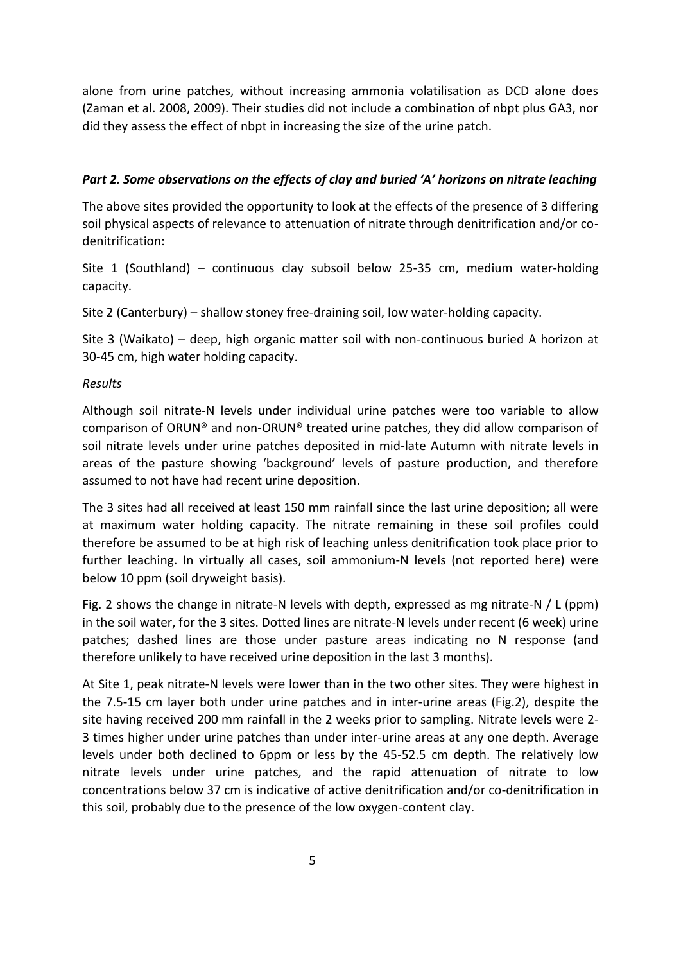alone from urine patches, without increasing ammonia volatilisation as DCD alone does (Zaman et al. 2008, 2009). Their studies did not include a combination of nbpt plus GA3, nor did they assess the effect of nbpt in increasing the size of the urine patch.

#### *Part 2. Some observations on the effects of clay and buried 'A' horizons on nitrate leaching*

The above sites provided the opportunity to look at the effects of the presence of 3 differing soil physical aspects of relevance to attenuation of nitrate through denitrification and/or codenitrification:

Site 1 (Southland) – continuous clay subsoil below 25-35 cm, medium water-holding capacity.

Site 2 (Canterbury) – shallow stoney free-draining soil, low water-holding capacity.

Site 3 (Waikato) – deep, high organic matter soil with non-continuous buried A horizon at 30-45 cm, high water holding capacity.

#### *Results*

Although soil nitrate-N levels under individual urine patches were too variable to allow comparison of ORUN® and non-ORUN® treated urine patches, they did allow comparison of soil nitrate levels under urine patches deposited in mid-late Autumn with nitrate levels in areas of the pasture showing 'background' levels of pasture production, and therefore assumed to not have had recent urine deposition.

The 3 sites had all received at least 150 mm rainfall since the last urine deposition; all were at maximum water holding capacity. The nitrate remaining in these soil profiles could therefore be assumed to be at high risk of leaching unless denitrification took place prior to further leaching. In virtually all cases, soil ammonium-N levels (not reported here) were below 10 ppm (soil dryweight basis).

Fig. 2 shows the change in nitrate-N levels with depth, expressed as mg nitrate-N / L (ppm) in the soil water, for the 3 sites. Dotted lines are nitrate-N levels under recent (6 week) urine patches; dashed lines are those under pasture areas indicating no N response (and therefore unlikely to have received urine deposition in the last 3 months).

At Site 1, peak nitrate-N levels were lower than in the two other sites. They were highest in the 7.5-15 cm layer both under urine patches and in inter-urine areas (Fig.2), despite the site having received 200 mm rainfall in the 2 weeks prior to sampling. Nitrate levels were 2- 3 times higher under urine patches than under inter-urine areas at any one depth. Average levels under both declined to 6ppm or less by the 45-52.5 cm depth. The relatively low nitrate levels under urine patches, and the rapid attenuation of nitrate to low concentrations below 37 cm is indicative of active denitrification and/or co-denitrification in this soil, probably due to the presence of the low oxygen-content clay.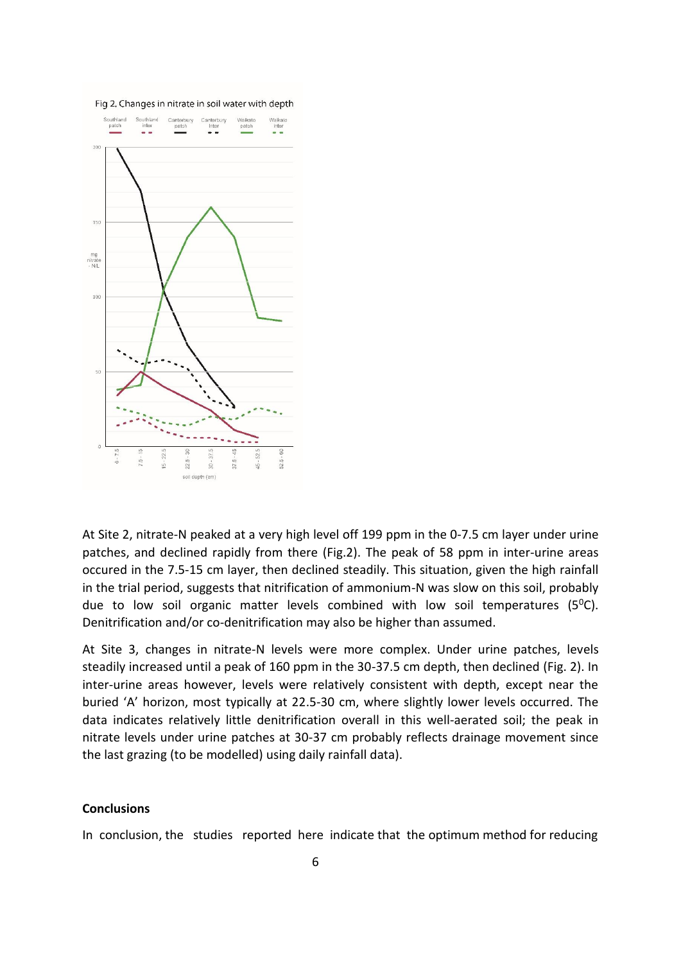

At Site 2, nitrate-N peaked at a very high level off 199 ppm in the 0-7.5 cm layer under urine patches, and declined rapidly from there (Fig.2). The peak of 58 ppm in inter-urine areas occured in the 7.5-15 cm layer, then declined steadily. This situation, given the high rainfall in the trial period, suggests that nitrification of ammonium-N was slow on this soil, probably due to low soil organic matter levels combined with low soil temperatures ( $5^{\circ}$ C). Denitrification and/or co-denitrification may also be higher than assumed.

At Site 3, changes in nitrate-N levels were more complex. Under urine patches, levels steadily increased until a peak of 160 ppm in the 30-37.5 cm depth, then declined (Fig. 2). In inter-urine areas however, levels were relatively consistent with depth, except near the buried 'A' horizon, most typically at 22.5-30 cm, where slightly lower levels occurred. The data indicates relatively little denitrification overall in this well-aerated soil; the peak in nitrate levels under urine patches at 30-37 cm probably reflects drainage movement since the last grazing (to be modelled) using daily rainfall data).

#### **Conclusions**

In conclusion, the studies reported here indicate that the optimum method for reducing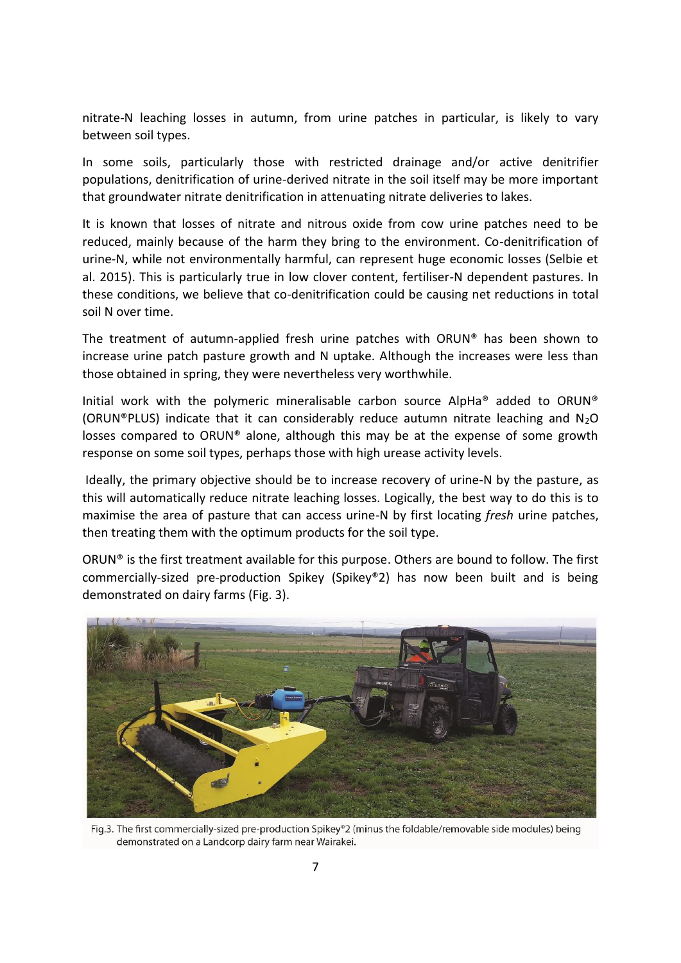nitrate-N leaching losses in autumn, from urine patches in particular, is likely to vary between soil types.

In some soils, particularly those with restricted drainage and/or active denitrifier populations, denitrification of urine-derived nitrate in the soil itself may be more important that groundwater nitrate denitrification in attenuating nitrate deliveries to lakes.

It is known that losses of nitrate and nitrous oxide from cow urine patches need to be reduced, mainly because of the harm they bring to the environment. Co-denitrification of urine-N, while not environmentally harmful, can represent huge economic losses (Selbie et al. 2015). This is particularly true in low clover content, fertiliser-N dependent pastures. In these conditions, we believe that co-denitrification could be causing net reductions in total soil N over time.

The treatment of autumn-applied fresh urine patches with ORUN® has been shown to increase urine patch pasture growth and N uptake. Although the increases were less than those obtained in spring, they were nevertheless very worthwhile.

Initial work with the polymeric mineralisable carbon source AlpHa® added to ORUN® (ORUN®PLUS) indicate that it can considerably reduce autumn nitrate leaching and  $N_2O$ losses compared to ORUN® alone, although this may be at the expense of some growth response on some soil types, perhaps those with high urease activity levels.

Ideally, the primary objective should be to increase recovery of urine-N by the pasture, as this will automatically reduce nitrate leaching losses. Logically, the best way to do this is to maximise the area of pasture that can access urine-N by first locating *fresh* urine patches, then treating them with the optimum products for the soil type.

ORUN® is the first treatment available for this purpose. Others are bound to follow. The first commercially-sized pre-production Spikey (Spikey®2) has now been built and is being demonstrated on dairy farms (Fig. 3).



Fig.3. The first commercially-sized pre-production Spikey®2 (minus the foldable/removable side modules) being demonstrated on a Landcorp dairy farm near Wairakei.